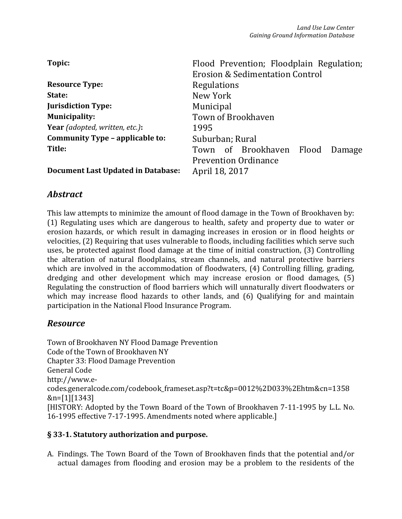| Topic:                                    | Flood Prevention; Floodplain Regulation;<br><b>Erosion &amp; Sedimentation Control</b> |
|-------------------------------------------|----------------------------------------------------------------------------------------|
| <b>Resource Type:</b>                     | Regulations                                                                            |
| State:                                    | New York                                                                               |
| <b>Jurisdiction Type:</b>                 | <b>Municipal</b>                                                                       |
| <b>Municipality:</b>                      | Town of Brookhaven                                                                     |
| Year (adopted, written, etc.):            | 1995                                                                                   |
| Community Type - applicable to:           | Suburban; Rural                                                                        |
| Title:                                    | Town of Brookhaven Flood<br>Damage                                                     |
| <b>Document Last Updated in Database:</b> | <b>Prevention Ordinance</b><br>April 18, 2017                                          |

# *Abstract*

This law attempts to minimize the amount of flood damage in the Town of Brookhaven by: (1) Regulating uses which are dangerous to health, safety and property due to water or erosion hazards, or which result in damaging increases in erosion or in flood heights or velocities, (2) Requiring that uses vulnerable to floods, including facilities which serve such uses, be protected against flood damage at the time of initial construction, (3) Controlling the alteration of natural floodplains, stream channels, and natural protective barriers which are involved in the accommodation of floodwaters, (4) Controlling filling, grading, dredging and other development which may increase erosion or flood damages, (5) Regulating the construction of flood barriers which will unnaturally divert floodwaters or which may increase flood hazards to other lands, and (6) Qualifying for and maintain participation in the National Flood Insurance Program.

## *Resource*

Town of Brookhaven NY Flood Damage Prevention Code of the Town of Brookhaven NY Chapter 33: Flood Damage Prevention General Code http://www.ecodes.generalcode.com/codebook\_frameset.asp?t=tc&p=0012%2D033%2Ehtm&cn=1358 &n=[1][1343] [HISTORY: Adopted by the Town Board of the Town of Brookhaven 7-11-1995 by L.L. No. 16-1995 effective 7-17-1995. Amendments noted where applicable.]

#### § 33-1. Statutory authorization and purpose.

A. Findings. The Town Board of the Town of Brookhaven finds that the potential and/or actual damages from flooding and erosion may be a problem to the residents of the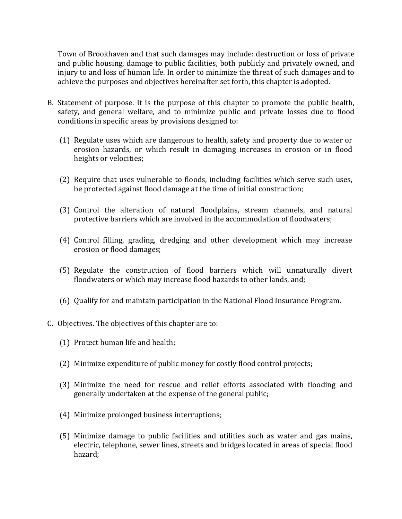Town of Brookhaven and that such damages may include: destruction or loss of private and public housing, damage to public facilities, both publicly and privately owned, and injury to and loss of human life. In order to minimize the threat of such damages and to achieve the purposes and objectives hereinafter set forth, this chapter is adopted.

- B. Statement of purpose. It is the purpose of this chapter to promote the public health, safety, and general welfare, and to minimize public and private losses due to flood conditions in specific areas by provisions designed to:
	- (1) Regulate uses which are dangerous to health, safety and property due to water or erosion hazards, or which result in damaging increases in erosion or in flood heights or velocities;
	- (2) Require that uses vulnerable to floods, including facilities which serve such uses, be protected against flood damage at the time of initial construction;
	- (3) Control the alteration of natural floodplains, stream channels, and natural protective barriers which are involved in the accommodation of floodwaters;
	- (4) Control filling, grading, dredging and other development which may increase erosion or flood damages;
	- (5) Regulate the construction of flood barriers which will unnaturally divert floodwaters or which may increase flood hazards to other lands, and;
	- (6) Qualify for and maintain participation in the National Flood Insurance Program.
- C. Objectives. The objectives of this chapter are to:
	- (1) Protect human life and health;
	- (2) Minimize expenditure of public money for costly flood control projects;
	- (3) Minimize the need for rescue and relief efforts associated with flooding and generally undertaken at the expense of the general public;
	- (4) Minimize prolonged business interruptions;
	- (5) Minimize damage to public facilities and utilities such as water and gas mains, electric, telephone, sewer lines, streets and bridges located in areas of special flood hazard;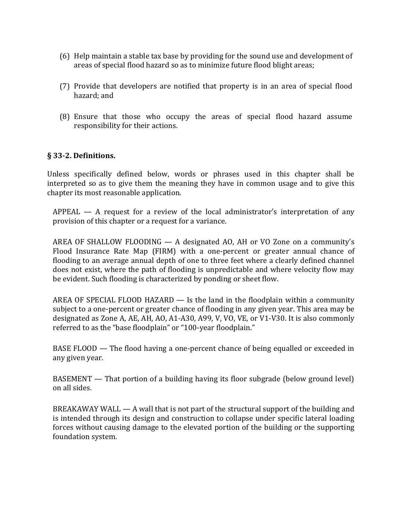- (6) Help maintain a stable tax base by providing for the sound use and development of areas of special flood hazard so as to minimize future flood blight areas;
- (7) Provide that developers are notified that property is in an area of special flood hazard; and
- (8) Ensure that those who occupy the areas of special flood hazard assume responsibility for their actions.

## § 33-2. Definitions.

Unless specifically defined below, words or phrases used in this chapter shall be interpreted so as to give them the meaning they have in common usage and to give this chapter its most reasonable application.

APPEAL — A request for a review of the local administrator's interpretation of any provision of this chapter or a request for a variance.

AREA OF SHALLOW FLOODING — A designated AO, AH or VO Zone on a community's Flood Insurance Rate Map (FIRM) with a one-percent or greater annual chance of flooding to an average annual depth of one to three feet where a clearly defined channel does not exist, where the path of flooding is unpredictable and where velocity flow may be evident. Such flooding is characterized by ponding or sheet flow.

AREA OF SPECIAL FLOOD HAZARD  $-$  Is the land in the floodplain within a community subject to a one-percent or greater chance of flooding in any given year. This area may be designated as Zone A, AE, AH, AO, A1-A30, A99, V, VO, VE, or V1-V30. It is also commonly referred to as the "base floodplain" or "100-year floodplain."

BASE FLOOD — The flood having a one-percent chance of being equalled or exceeded in any given year.

BASEMENT — That portion of a building having its floor subgrade (below ground level) on all sides.

BREAKAWAY WALL — A wall that is not part of the structural support of the building and is intended through its design and construction to collapse under specific lateral loading forces without causing damage to the elevated portion of the building or the supporting foundation system.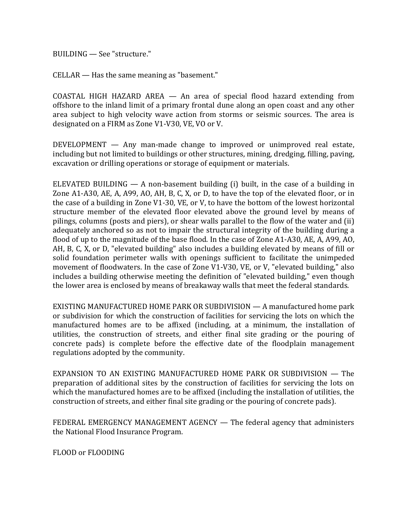BUILDING — See "structure."

CELLAR — Has the same meaning as "basement."

COASTAL HIGH HAZARD AREA — An area of special flood hazard extending from offshore to the inland limit of a primary frontal dune along an open coast and any other area subject to high velocity wave action from storms or seismic sources. The area is designated on a FIRM as Zone V1-V30, VE, VO or V.

DEVELOPMENT — Any man-made change to improved or unimproved real estate, including but not limited to buildings or other structures, mining, dredging, filling, paving, excavation or drilling operations or storage of equipment or materials.

ELEVATED BUILDING  $-$  A non-basement building (i) built, in the case of a building in Zone A1-A30, AE, A, A99, AO, AH, B, C, X, or D, to have the top of the elevated floor, or in the case of a building in Zone V1-30, VE, or V, to have the bottom of the lowest horizontal structure member of the elevated floor elevated above the ground level by means of pilings, columns (posts and piers), or shear walls parallel to the flow of the water and (ii) adequately anchored so as not to impair the structural integrity of the building during a flood of up to the magnitude of the base flood. In the case of Zone A1-A30, AE, A, A99, AO, AH, B, C, X, or D, "elevated building" also includes a building elevated by means of fill or solid foundation perimeter walls with openings sufficient to facilitate the unimpeded movement of floodwaters. In the case of Zone V1-V30, VE, or V, "elevated building," also includes a building otherwise meeting the definition of "elevated building," even though the lower area is enclosed by means of breakaway walls that meet the federal standards.

EXISTING MANUFACTURED HOME PARK OR SUBDIVISION — A manufactured home park or subdivision for which the construction of facilities for servicing the lots on which the manufactured homes are to be affixed (including, at a minimum, the installation of utilities, the construction of streets, and either final site grading or the pouring of concrete pads) is complete before the effective date of the floodplain management regulations adopted by the community.

EXPANSION TO AN EXISTING MANUFACTURED HOME PARK OR SUBDIVISION — The preparation of additional sites by the construction of facilities for servicing the lots on which the manufactured homes are to be affixed (including the installation of utilities, the construction of streets, and either final site grading or the pouring of concrete pads).

FEDERAL EMERGENCY MANAGEMENT AGENCY — The federal agency that administers the National Flood Insurance Program.

FLOOD or FLOODING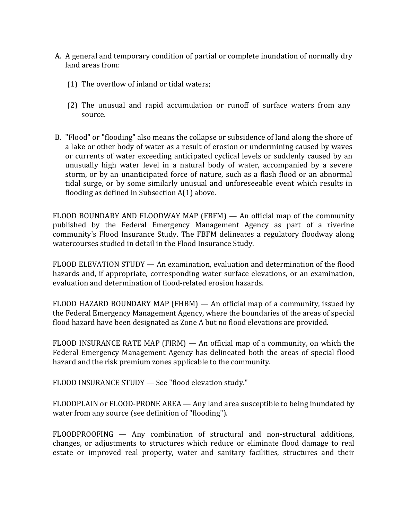- A. A general and temporary condition of partial or complete inundation of normally dry land areas from:
	- (1) The overflow of inland or tidal waters;
	- (2) The unusual and rapid accumulation or runoff of surface waters from any source.
- B. "Flood" or "flooding" also means the collapse or subsidence of land along the shore of a lake or other body of water as a result of erosion or undermining caused by waves or currents of water exceeding anticipated cyclical levels or suddenly caused by an unusually high water level in a natural body of water, accompanied by a severe storm, or by an unanticipated force of nature, such as a flash flood or an abnormal tidal surge, or by some similarly unusual and unforeseeable event which results in flooding as defined in Subsection A(1) above.

FLOOD BOUNDARY AND FLOODWAY MAP (FBFM) — An official map of the community published by the Federal Emergency Management Agency as part of a riverine community's Flood Insurance Study. The FBFM delineates a regulatory floodway along watercourses studied in detail in the Flood Insurance Study.

FLOOD ELEVATION STUDY — An examination, evaluation and determination of the flood hazards and, if appropriate, corresponding water surface elevations, or an examination, evaluation and determination of flood-related erosion hazards.

FLOOD HAZARD BOUNDARY MAP (FHBM) — An official map of a community, issued by the Federal Emergency Management Agency, where the boundaries of the areas of special flood hazard have been designated as Zone A but no flood elevations are provided.

FLOOD INSURANCE RATE MAP (FIRM) — An official map of a community, on which the Federal Emergency Management Agency has delineated both the areas of special flood hazard and the risk premium zones applicable to the community.

FLOOD INSURANCE STUDY — See "flood elevation study."

FLOODPLAIN or FLOOD-PRONE AREA — Any land area susceptible to being inundated by water from any source (see definition of "flooding").

FLOODPROOFING — Any combination of structural and non-structural additions, changes, or adjustments to structures which reduce or eliminate flood damage to real estate or improved real property, water and sanitary facilities, structures and their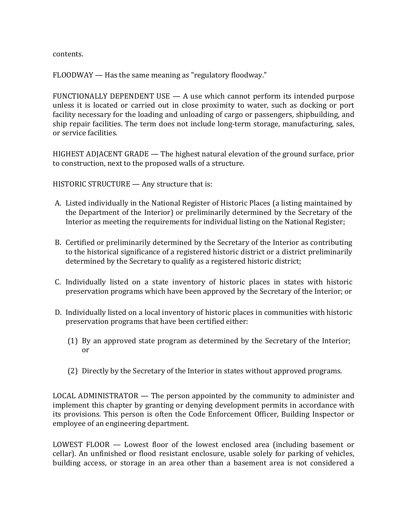contents.

FLOODWAY — Has the same meaning as "regulatory floodway."

FUNCTIONALLY DEPENDENT USE — A use which cannot perform its intended purpose unless it is located or carried out in close proximity to water, such as docking or port facility necessary for the loading and unloading of cargo or passengers, shipbuilding, and ship repair facilities. The term does not include long-term storage, manufacturing, sales, or service facilities.

HIGHEST ADJACENT GRADE — The highest natural elevation of the ground surface, prior to construction, next to the proposed walls of a structure.

HISTORIC STRUCTURE — Any structure that is:

- A. Listed individually in the National Register of Historic Places (a listing maintained by the Department of the Interior) or preliminarily determined by the Secretary of the Interior as meeting the requirements for individual listing on the National Register;
- B. Certified or preliminarily determined by the Secretary of the Interior as contributing to the historical significance of a registered historic district or a district preliminarily determined by the Secretary to qualify as a registered historic district;
- C. Individually listed on a state inventory of historic places in states with historic preservation programs which have been approved by the Secretary of the Interior; or
- D. Individually listed on a local inventory of historic places in communities with historic preservation programs that have been certified either:
	- (1) By an approved state program as determined by the Secretary of the Interior; or
	- (2) Directly by the Secretary of the Interior in states without approved programs.

LOCAL ADMINISTRATOR — The person appointed by the community to administer and implement this chapter by granting or denying development permits in accordance with its provisions. This person is often the Code Enforcement Officer, Building Inspector or employee of an engineering department.

LOWEST FLOOR — Lowest floor of the lowest enclosed area (including basement or cellar). An unfinished or flood resistant enclosure, usable solely for parking of vehicles, building access, or storage in an area other than a basement area is not considered a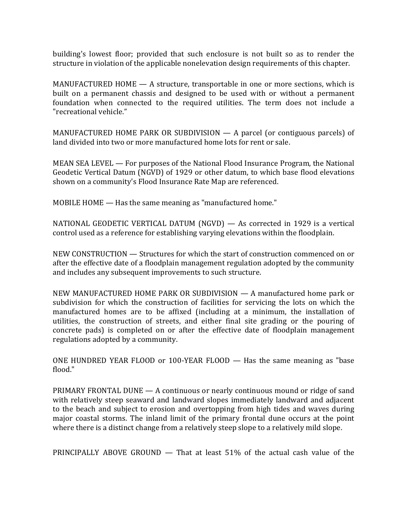building's lowest floor; provided that such enclosure is not built so as to render the structure in violation of the applicable nonelevation design requirements of this chapter.

MANUFACTURED HOME — A structure, transportable in one or more sections, which is built on a permanent chassis and designed to be used with or without a permanent foundation when connected to the required utilities. The term does not include a "recreational vehicle."

MANUFACTURED HOME PARK OR SUBDIVISION — A parcel (or contiguous parcels) of land divided into two or more manufactured home lots for rent or sale.

MEAN SEA LEVEL — For purposes of the National Flood Insurance Program, the National Geodetic Vertical Datum (NGVD) of 1929 or other datum, to which base flood elevations shown on a community's Flood Insurance Rate Map are referenced.

MOBILE HOME — Has the same meaning as "manufactured home."

NATIONAL GEODETIC VERTICAL DATUM (NGVD) — As corrected in 1929 is a vertical control used as a reference for establishing varying elevations within the floodplain.

NEW CONSTRUCTION — Structures for which the start of construction commenced on or after the effective date of a floodplain management regulation adopted by the community and includes any subsequent improvements to such structure.

NEW MANUFACTURED HOME PARK OR SUBDIVISION — A manufactured home park or subdivision for which the construction of facilities for servicing the lots on which the manufactured homes are to be affixed (including at a minimum, the installation of utilities, the construction of streets, and either final site grading or the pouring of concrete pads) is completed on or after the effective date of floodplain management regulations adopted by a community.

ONE HUNDRED YEAR FLOOD or 100-YEAR FLOOD — Has the same meaning as "base flood."

PRIMARY FRONTAL DUNE — A continuous or nearly continuous mound or ridge of sand with relatively steep seaward and landward slopes immediately landward and adjacent to the beach and subject to erosion and overtopping from high tides and waves during major coastal storms. The inland limit of the primary frontal dune occurs at the point where there is a distinct change from a relatively steep slope to a relatively mild slope.

PRINCIPALLY ABOVE GROUND — That at least 51% of the actual cash value of the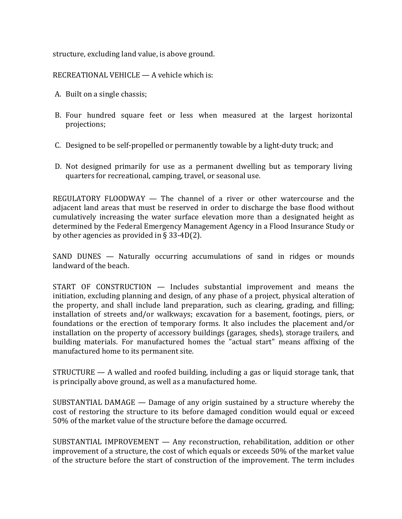structure, excluding land value, is above ground.

RECREATIONAL VEHICLE — A vehicle which is:

- A. Built on a single chassis;
- B. Four hundred square feet or less when measured at the largest horizontal projections;
- C. Designed to be self-propelled or permanently towable by a light-duty truck; and
- D. Not designed primarily for use as a permanent dwelling but as temporary living quarters for recreational, camping, travel, or seasonal use.

REGULATORY FLOODWAY — The channel of a river or other watercourse and the adjacent land areas that must be reserved in order to discharge the base flood without cumulatively increasing the water surface elevation more than a designated height as determined by the Federal Emergency Management Agency in a Flood Insurance Study or by other agencies as provided in § 33-4D(2).

SAND DUNES — Naturally occurring accumulations of sand in ridges or mounds landward of the beach.

START OF CONSTRUCTION — Includes substantial improvement and means the initiation, excluding planning and design, of any phase of a project, physical alteration of the property, and shall include land preparation, such as clearing, grading, and filling; installation of streets and/or walkways; excavation for a basement, footings, piers, or foundations or the erection of temporary forms. It also includes the placement and/or installation on the property of accessory buildings (garages, sheds), storage trailers, and building materials. For manufactured homes the "actual start" means affixing of the manufactured home to its permanent site.

STRUCTURE — A walled and roofed building, including a gas or liquid storage tank, that is principally above ground, as well as a manufactured home.

SUBSTANTIAL DAMAGE — Damage of any origin sustained by a structure whereby the cost of restoring the structure to its before damaged condition would equal or exceed 50% of the market value of the structure before the damage occurred.

SUBSTANTIAL IMPROVEMENT — Any reconstruction, rehabilitation, addition or other improvement of a structure, the cost of which equals or exceeds 50% of the market value of the structure before the start of construction of the improvement. The term includes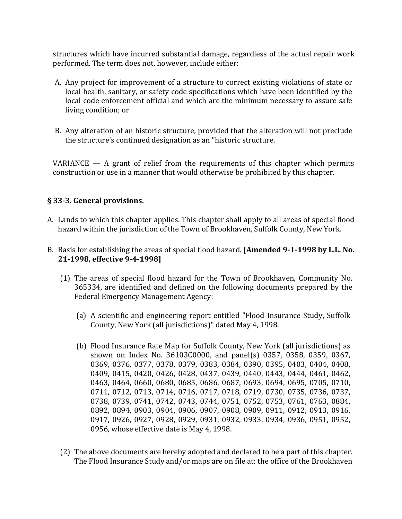structures which have incurred substantial damage, regardless of the actual repair work performed. The term does not, however, include either:

- A. Any project for improvement of a structure to correct existing violations of state or local health, sanitary, or safety code specifications which have been identified by the local code enforcement official and which are the minimum necessary to assure safe living condition; or
- B. Any alteration of an historic structure, provided that the alteration will not preclude the structure's continued designation as an "historic structure.

VARIANCE  $-$  A grant of relief from the requirements of this chapter which permits construction or use in a manner that would otherwise be prohibited by this chapter.

#### § 33-3. General provisions.

- A. Lands to which this chapter applies. This chapter shall apply to all areas of special flood hazard within the jurisdiction of the Town of Brookhaven, Suffolk County, New York.
- B. Basis for establishing the areas of special flood hazard. [Amended 9-1-1998 by L.L. No. 21-1998, effective 9-4-1998]
	- (1) The areas of special flood hazard for the Town of Brookhaven, Community No. 365334, are identified and defined on the following documents prepared by the Federal Emergency Management Agency:
		- (a) A scientific and engineering report entitled "Flood Insurance Study, Suffolk County, New York (all jurisdictions)" dated May 4, 1998.
		- (b) Flood Insurance Rate Map for Suffolk County, New York (all jurisdictions) as shown on Index No. 36103C0000, and panel(s) 0357, 0358, 0359, 0367, 0369, 0376, 0377, 0378, 0379, 0383, 0384, 0390, 0395, 0403, 0404, 0408, 0409, 0415, 0420, 0426, 0428, 0437, 0439, 0440, 0443, 0444, 0461, 0462, 0463, 0464, 0660, 0680, 0685, 0686, 0687, 0693, 0694, 0695, 0705, 0710, 0711, 0712, 0713, 0714, 0716, 0717, 0718, 0719, 0730, 0735, 0736, 0737, 0738, 0739, 0741, 0742, 0743, 0744, 0751, 0752, 0753, 0761, 0763, 0884, 0892, 0894, 0903, 0904, 0906, 0907, 0908, 0909, 0911, 0912, 0913, 0916, 0917, 0926, 0927, 0928, 0929, 0931, 0932, 0933, 0934, 0936, 0951, 0952, 0956, whose effective date is May 4, 1998.
	- (2) The above documents are hereby adopted and declared to be a part of this chapter. The Flood Insurance Study and/or maps are on file at: the office of the Brookhaven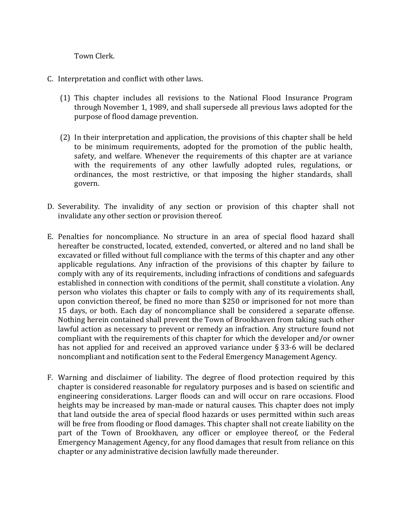Town Clerk.

- C. Interpretation and conflict with other laws.
	- (1) This chapter includes all revisions to the National Flood Insurance Program through November 1, 1989, and shall supersede all previous laws adopted for the purpose of flood damage prevention.
	- (2) In their interpretation and application, the provisions of this chapter shall be held to be minimum requirements, adopted for the promotion of the public health, safety, and welfare. Whenever the requirements of this chapter are at variance with the requirements of any other lawfully adopted rules, regulations, or ordinances, the most restrictive, or that imposing the higher standards, shall govern.
- D. Severability. The invalidity of any section or provision of this chapter shall not invalidate any other section or provision thereof.
- E. Penalties for noncompliance. No structure in an area of special flood hazard shall hereafter be constructed, located, extended, converted, or altered and no land shall be excavated or filled without full compliance with the terms of this chapter and any other applicable regulations. Any infraction of the provisions of this chapter by failure to comply with any of its requirements, including infractions of conditions and safeguards established in connection with conditions of the permit, shall constitute a violation. Any person who violates this chapter or fails to comply with any of its requirements shall, upon conviction thereof, be fined no more than \$250 or imprisoned for not more than 15 days, or both. Each day of noncompliance shall be considered a separate offense. Nothing herein contained shall prevent the Town of Brookhaven from taking such other lawful action as necessary to prevent or remedy an infraction. Any structure found not compliant with the requirements of this chapter for which the developer and/or owner has not applied for and received an approved variance under § 33-6 will be declared noncompliant and notification sent to the Federal Emergency Management Agency.
- F. Warning and disclaimer of liability. The degree of flood protection required by this chapter is considered reasonable for regulatory purposes and is based on scientific and engineering considerations. Larger floods can and will occur on rare occasions. Flood heights may be increased by man-made or natural causes. This chapter does not imply that land outside the area of special flood hazards or uses permitted within such areas will be free from flooding or flood damages. This chapter shall not create liability on the part of the Town of Brookhaven, any officer or employee thereof, or the Federal Emergency Management Agency, for any flood damages that result from reliance on this chapter or any administrative decision lawfully made thereunder.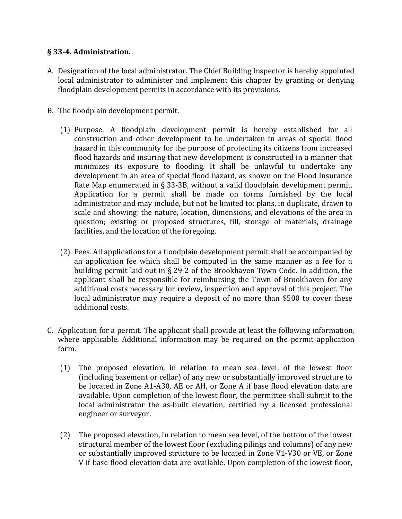## § 33-4. Administration.

- A. Designation of the local administrator. The Chief Building Inspector is hereby appointed local administrator to administer and implement this chapter by granting or denying floodplain development permits in accordance with its provisions.
- B. The floodplain development permit.
	- (1) Purpose. A floodplain development permit is hereby established for all construction and other development to be undertaken in areas of special flood hazard in this community for the purpose of protecting its citizens from increased flood hazards and insuring that new development is constructed in a manner that minimizes its exposure to flooding. It shall be unlawful to undertake any development in an area of special flood hazard, as shown on the Flood Insurance Rate Map enumerated in § 33-3B, without a valid floodplain development permit. Application for a permit shall be made on forms furnished by the local administrator and may include, but not be limited to: plans, in duplicate, drawn to scale and showing: the nature, location, dimensions, and elevations of the area in question; existing or proposed structures, fill, storage of materials, drainage facilities, and the location of the foregoing.
	- (2) Fees. All applications for a floodplain development permit shall be accompanied by an application fee which shall be computed in the same manner as a fee for a building permit laid out in § 29-2 of the Brookhaven Town Code. In addition, the applicant shall be responsible for reimbursing the Town of Brookhaven for any additional costs necessary for review, inspection and approval of this project. The local administrator may require a deposit of no more than \$500 to cover these additional costs.
- C. Application for a permit. The applicant shall provide at least the following information, where applicable. Additional information may be required on the permit application form.
	- (1) The proposed elevation, in relation to mean sea level, of the lowest floor (including basement or cellar) of any new or substantially improved structure to be located in Zone A1-A30, AE or AH, or Zone A if base flood elevation data are available. Upon completion of the lowest floor, the permittee shall submit to the local administrator the as-built elevation, certified by a licensed professional engineer or surveyor.
	- (2) The proposed elevation, in relation to mean sea level, of the bottom of the lowest structural member of the lowest floor (excluding pilings and columns) of any new or substantially improved structure to be located in Zone V1-V30 or VE, or Zone V if base flood elevation data are available. Upon completion of the lowest floor,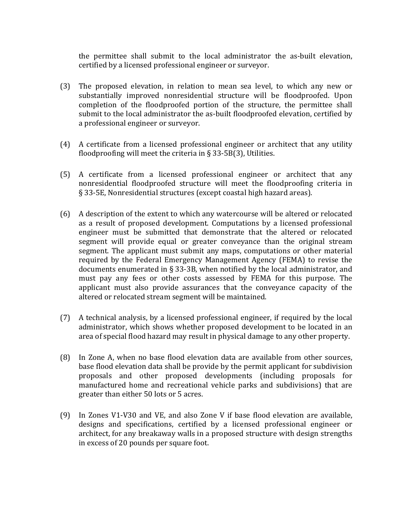the permittee shall submit to the local administrator the as-built elevation, certified by a licensed professional engineer or surveyor.

- (3) The proposed elevation, in relation to mean sea level, to which any new or substantially improved nonresidential structure will be floodproofed. Upon completion of the floodproofed portion of the structure, the permittee shall submit to the local administrator the as-built floodproofed elevation, certified by a professional engineer or surveyor.
- (4) A certificate from a licensed professional engineer or architect that any utility floodproofing will meet the criteria in  $\S$  33-5B(3), Utilities.
- (5) A certificate from a licensed professional engineer or architect that any nonresidential floodproofed structure will meet the floodproofing criteria in § 33-5E, Nonresidential structures (except coastal high hazard areas).
- (6) A description of the extent to which any watercourse will be altered or relocated as a result of proposed development. Computations by a licensed professional engineer must be submitted that demonstrate that the altered or relocated segment will provide equal or greater conveyance than the original stream segment. The applicant must submit any maps, computations or other material required by the Federal Emergency Management Agency (FEMA) to revise the documents enumerated in § 33-3B, when notified by the local administrator, and must pay any fees or other costs assessed by FEMA for this purpose. The applicant must also provide assurances that the conveyance capacity of the altered or relocated stream segment will be maintained.
- (7) A technical analysis, by a licensed professional engineer, if required by the local administrator, which shows whether proposed development to be located in an area of special flood hazard may result in physical damage to any other property.
- (8) In Zone A, when no base flood elevation data are available from other sources, base flood elevation data shall be provide by the permit applicant for subdivision proposals and other proposed developments (including proposals for manufactured home and recreational vehicle parks and subdivisions) that are greater than either 50 lots or 5 acres.
- (9) In Zones V1-V30 and VE, and also Zone V if base flood elevation are available, designs and specifications, certified by a licensed professional engineer or architect, for any breakaway walls in a proposed structure with design strengths in excess of 20 pounds per square foot.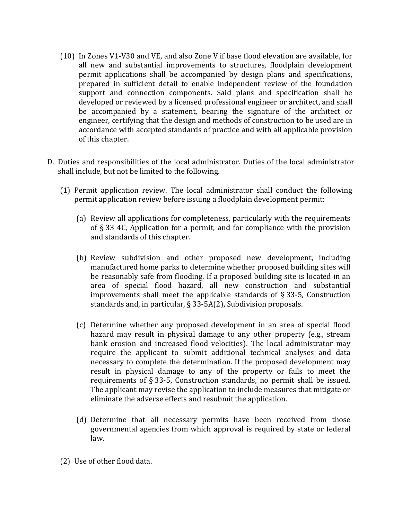- (10) In Zones V1-V30 and VE, and also Zone V if base flood elevation are available, for all new and substantial improvements to structures, floodplain development permit applications shall be accompanied by design plans and specifications, prepared in sufficient detail to enable independent review of the foundation support and connection components. Said plans and specification shall be developed or reviewed by a licensed professional engineer or architect, and shall be accompanied by a statement, bearing the signature of the architect or engineer, certifying that the design and methods of construction to be used are in accordance with accepted standards of practice and with all applicable provision of this chapter.
- D. Duties and responsibilities of the local administrator. Duties of the local administrator shall include, but not be limited to the following.
	- (1) Permit application review. The local administrator shall conduct the following permit application review before issuing a floodplain development permit:
		- (a) Review all applications for completeness, particularly with the requirements of § 33-4C, Application for a permit, and for compliance with the provision and standards of this chapter.
		- (b) Review subdivision and other proposed new development, including manufactured home parks to determine whether proposed building sites will be reasonably safe from flooding. If a proposed building site is located in an area of special flood hazard, all new construction and substantial improvements shall meet the applicable standards of § 33-5, Construction standards and, in particular, § 33-5A(2), Subdivision proposals.
		- (c) Determine whether any proposed development in an area of special flood hazard may result in physical damage to any other property (e.g., stream bank erosion and increased flood velocities). The local administrator may require the applicant to submit additional technical analyses and data necessary to complete the determination. If the proposed development may result in physical damage to any of the property or fails to meet the requirements of § 33-5, Construction standards, no permit shall be issued. The applicant may revise the application to include measures that mitigate or eliminate the adverse effects and resubmit the application.
		- (d) Determine that all necessary permits have been received from those governmental agencies from which approval is required by state or federal law.
	- (2) Use of other flood data.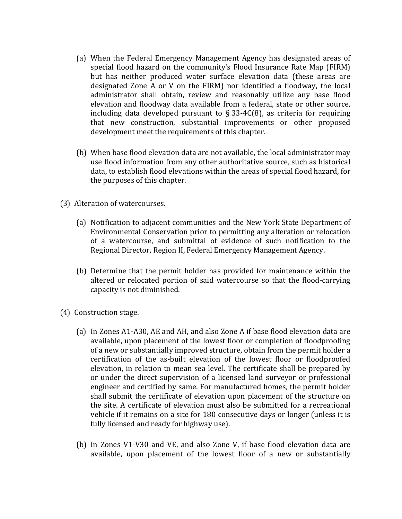- (a) When the Federal Emergency Management Agency has designated areas of special flood hazard on the community's Flood Insurance Rate Map (FIRM) but has neither produced water surface elevation data (these areas are designated Zone A or V on the FIRM) nor identified a floodway, the local administrator shall obtain, review and reasonably utilize any base flood elevation and floodway data available from a federal, state or other source, including data developed pursuant to  $\S 33-4C(8)$ , as criteria for requiring that new construction, substantial improvements or other proposed development meet the requirements of this chapter.
- (b) When base flood elevation data are not available, the local administrator may use flood information from any other authoritative source, such as historical data, to establish flood elevations within the areas of special flood hazard, for the purposes of this chapter.
- (3) Alteration of watercourses.
	- (a) Notification to adjacent communities and the New York State Department of Environmental Conservation prior to permitting any alteration or relocation of a watercourse, and submittal of evidence of such notification to the Regional Director, Region II, Federal Emergency Management Agency.
	- (b) Determine that the permit holder has provided for maintenance within the altered or relocated portion of said watercourse so that the flood-carrying capacity is not diminished.
- (4) Construction stage.
	- (a) In Zones A1-A30, AE and AH, and also Zone A if base flood elevation data are available, upon placement of the lowest floor or completion of floodproofing of a new or substantially improved structure, obtain from the permit holder a certification of the as-built elevation of the lowest floor or floodproofed elevation, in relation to mean sea level. The certificate shall be prepared by or under the direct supervision of a licensed land surveyor or professional engineer and certified by same. For manufactured homes, the permit holder shall submit the certificate of elevation upon placement of the structure on the site. A certificate of elevation must also be submitted for a recreational vehicle if it remains on a site for 180 consecutive days or longer (unless it is fully licensed and ready for highway use).
	- (b) In Zones V1-V30 and VE, and also Zone V, if base flood elevation data are available, upon placement of the lowest floor of a new or substantially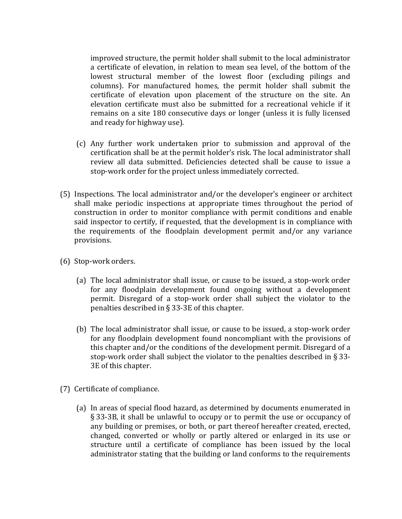improved structure, the permit holder shall submit to the local administrator a certificate of elevation, in relation to mean sea level, of the bottom of the lowest structural member of the lowest floor (excluding pilings and columns). For manufactured homes, the permit holder shall submit the certificate of elevation upon placement of the structure on the site. An elevation certificate must also be submitted for a recreational vehicle if it remains on a site 180 consecutive days or longer (unless it is fully licensed and ready for highway use).

- (c) Any further work undertaken prior to submission and approval of the certification shall be at the permit holder's risk. The local administrator shall review all data submitted. Deficiencies detected shall be cause to issue a stop-work order for the project unless immediately corrected.
- (5) Inspections. The local administrator and/or the developer's engineer or architect shall make periodic inspections at appropriate times throughout the period of construction in order to monitor compliance with permit conditions and enable said inspector to certify, if requested, that the development is in compliance with the requirements of the floodplain development permit and/or any variance provisions.
- (6) Stop-work orders.
	- (a) The local administrator shall issue, or cause to be issued, a stop-work order for any floodplain development found ongoing without a development permit. Disregard of a stop-work order shall subject the violator to the penalties described in § 33-3E of this chapter.
	- (b) The local administrator shall issue, or cause to be issued, a stop-work order for any floodplain development found noncompliant with the provisions of this chapter and/or the conditions of the development permit. Disregard of a stop-work order shall subject the violator to the penalties described in § 33- 3E of this chapter.
- (7) Certificate of compliance.
	- (a) In areas of special flood hazard, as determined by documents enumerated in § 33-3B, it shall be unlawful to occupy or to permit the use or occupancy of any building or premises, or both, or part thereof hereafter created, erected, changed, converted or wholly or partly altered or enlarged in its use or structure until a certificate of compliance has been issued by the local administrator stating that the building or land conforms to the requirements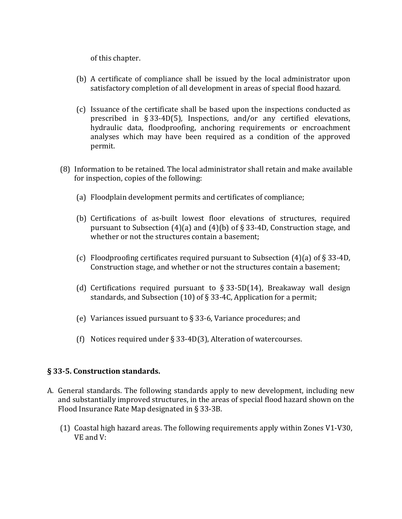of this chapter.

- (b) A certificate of compliance shall be issued by the local administrator upon satisfactory completion of all development in areas of special flood hazard.
- (c) Issuance of the certificate shall be based upon the inspections conducted as prescribed in § 33-4D(5), Inspections, and/or any certified elevations, hydraulic data, floodproofing, anchoring requirements or encroachment analyses which may have been required as a condition of the approved permit.
- (8) Information to be retained. The local administrator shall retain and make available for inspection, copies of the following:
	- (a) Floodplain development permits and certificates of compliance;
	- (b) Certifications of as-built lowest floor elevations of structures, required pursuant to Subsection  $(4)(a)$  and  $(4)(b)$  of § 33-4D, Construction stage, and whether or not the structures contain a basement;
	- (c) Floodproofing certificates required pursuant to Subsection (4)(a) of § 33-4D, Construction stage, and whether or not the structures contain a basement;
	- (d) Certifications required pursuant to  $\S 33-5D(14)$ , Breakaway wall design standards, and Subsection (10) of § 33-4C, Application for a permit;
	- (e) Variances issued pursuant to § 33-6, Variance procedures; and
	- (f) Notices required under § 33-4D(3), Alteration of watercourses.

#### § 33-5. Construction standards.

- A. General standards. The following standards apply to new development, including new and substantially improved structures, in the areas of special flood hazard shown on the Flood Insurance Rate Map designated in § 33-3B.
	- (1) Coastal high hazard areas. The following requirements apply within Zones V1-V30, VE and V: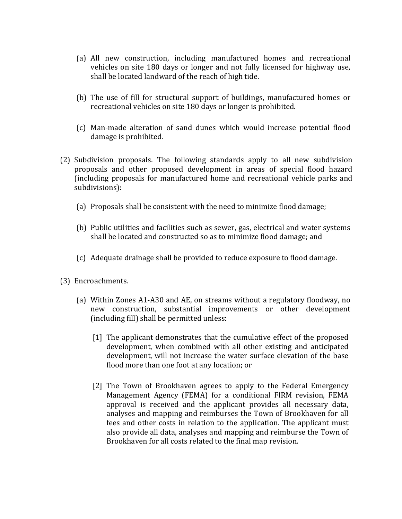- (a) All new construction, including manufactured homes and recreational vehicles on site 180 days or longer and not fully licensed for highway use, shall be located landward of the reach of high tide.
- (b) The use of fill for structural support of buildings, manufactured homes or recreational vehicles on site 180 days or longer is prohibited.
- (c) Man-made alteration of sand dunes which would increase potential flood damage is prohibited.
- (2) Subdivision proposals. The following standards apply to all new subdivision proposals and other proposed development in areas of special flood hazard (including proposals for manufactured home and recreational vehicle parks and subdivisions):
	- (a) Proposals shall be consistent with the need to minimize flood damage;
	- (b) Public utilities and facilities such as sewer, gas, electrical and water systems shall be located and constructed so as to minimize flood damage; and
	- (c) Adequate drainage shall be provided to reduce exposure to flood damage.
- (3) Encroachments.
	- (a) Within Zones A1-A30 and AE, on streams without a regulatory floodway, no new construction, substantial improvements or other development (including fill) shall be permitted unless:
		- [1] The applicant demonstrates that the cumulative effect of the proposed development, when combined with all other existing and anticipated development, will not increase the water surface elevation of the base flood more than one foot at any location; or
		- [2] The Town of Brookhaven agrees to apply to the Federal Emergency Management Agency (FEMA) for a conditional FIRM revision, FEMA approval is received and the applicant provides all necessary data, analyses and mapping and reimburses the Town of Brookhaven for all fees and other costs in relation to the application. The applicant must also provide all data, analyses and mapping and reimburse the Town of Brookhaven for all costs related to the final map revision.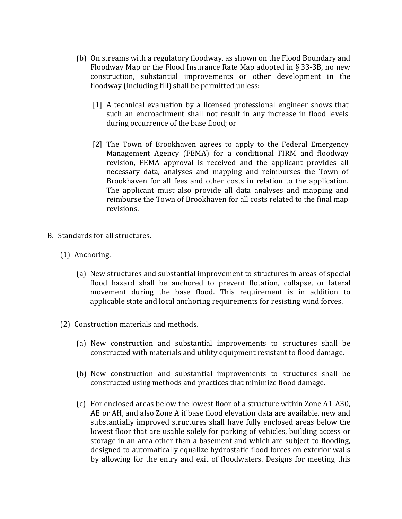- (b) On streams with a regulatory floodway, as shown on the Flood Boundary and Floodway Map or the Flood Insurance Rate Map adopted in  $\S 33$ -3B, no new construction, substantial improvements or other development in the floodway (including fill) shall be permitted unless:
	- [1] A technical evaluation by a licensed professional engineer shows that such an encroachment shall not result in any increase in flood levels during occurrence of the base flood; or
	- [2] The Town of Brookhaven agrees to apply to the Federal Emergency Management Agency (FEMA) for a conditional FIRM and floodway revision, FEMA approval is received and the applicant provides all necessary data, analyses and mapping and reimburses the Town of Brookhaven for all fees and other costs in relation to the application. The applicant must also provide all data analyses and mapping and reimburse the Town of Brookhaven for all costs related to the final map revisions.
- B. Standards for all structures.
	- (1) Anchoring.
		- (a) New structures and substantial improvement to structures in areas of special flood hazard shall be anchored to prevent flotation, collapse, or lateral movement during the base flood. This requirement is in addition to applicable state and local anchoring requirements for resisting wind forces.
	- (2) Construction materials and methods.
		- (a) New construction and substantial improvements to structures shall be constructed with materials and utility equipment resistant to flood damage.
		- (b) New construction and substantial improvements to structures shall be constructed using methods and practices that minimize flood damage.
		- (c) For enclosed areas below the lowest floor of a structure within Zone A1-A30, AE or AH, and also Zone A if base flood elevation data are available, new and substantially improved structures shall have fully enclosed areas below the lowest floor that are usable solely for parking of vehicles, building access or storage in an area other than a basement and which are subject to flooding, designed to automatically equalize hydrostatic flood forces on exterior walls by allowing for the entry and exit of floodwaters. Designs for meeting this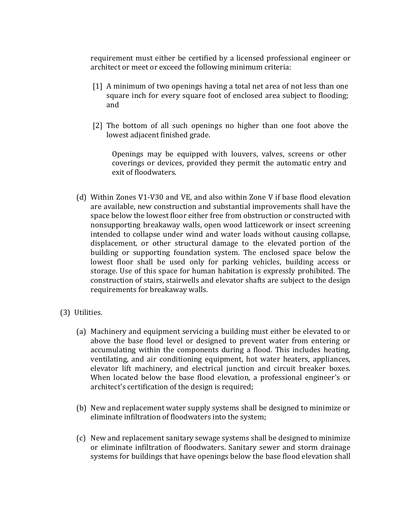requirement must either be certified by a licensed professional engineer or architect or meet or exceed the following minimum criteria:

- [1] A minimum of two openings having a total net area of not less than one square inch for every square foot of enclosed area subject to flooding; and
- [2] The bottom of all such openings no higher than one foot above the lowest adjacent finished grade.

Openings may be equipped with louvers, valves, screens or other coverings or devices, provided they permit the automatic entry and exit of floodwaters.

- (d) Within Zones V1-V30 and VE, and also within Zone V if base flood elevation are available, new construction and substantial improvements shall have the space below the lowest floor either free from obstruction or constructed with nonsupporting breakaway walls, open wood latticework or insect screening intended to collapse under wind and water loads without causing collapse, displacement, or other structural damage to the elevated portion of the building or supporting foundation system. The enclosed space below the lowest floor shall be used only for parking vehicles, building access or storage. Use of this space for human habitation is expressly prohibited. The construction of stairs, stairwells and elevator shafts are subject to the design requirements for breakaway walls.
- (3) Utilities.
	- (a) Machinery and equipment servicing a building must either be elevated to or above the base flood level or designed to prevent water from entering or accumulating within the components during a flood. This includes heating, ventilating, and air conditioning equipment, hot water heaters, appliances, elevator lift machinery, and electrical junction and circuit breaker boxes. When located below the base flood elevation, a professional engineer's or architect's certification of the design is required;
	- (b) New and replacement water supply systems shall be designed to minimize or eliminate infiltration of floodwaters into the system;
	- (c) New and replacement sanitary sewage systems shall be designed to minimize or eliminate infiltration of floodwaters. Sanitary sewer and storm drainage systems for buildings that have openings below the base flood elevation shall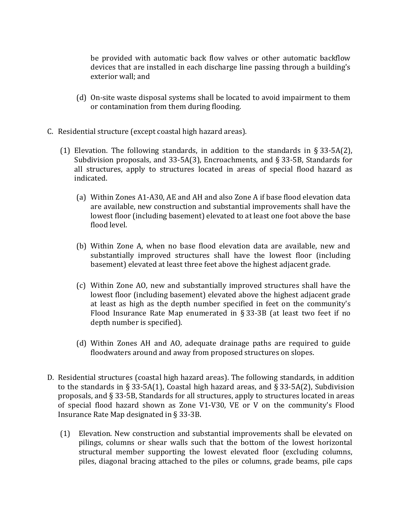be provided with automatic back flow valves or other automatic backflow devices that are installed in each discharge line passing through a building's exterior wall; and

- (d) On-site waste disposal systems shall be located to avoid impairment to them or contamination from them during flooding.
- C. Residential structure (except coastal high hazard areas).
	- (1) Elevation. The following standards, in addition to the standards in § 33-5A(2), Subdivision proposals, and 33-5A(3), Encroachments, and § 33-5B, Standards for all structures, apply to structures located in areas of special flood hazard as indicated.
		- (a) Within Zones A1-A30, AE and AH and also Zone A if base flood elevation data are available, new construction and substantial improvements shall have the lowest floor (including basement) elevated to at least one foot above the base flood level.
		- (b) Within Zone A, when no base flood elevation data are available, new and substantially improved structures shall have the lowest floor (including basement) elevated at least three feet above the highest adjacent grade.
		- (c) Within Zone AO, new and substantially improved structures shall have the lowest floor (including basement) elevated above the highest adjacent grade at least as high as the depth number specified in feet on the community's Flood Insurance Rate Map enumerated in § 33-3B (at least two feet if no depth number is specified).
		- (d) Within Zones AH and AO, adequate drainage paths are required to guide floodwaters around and away from proposed structures on slopes.
- D. Residential structures (coastal high hazard areas). The following standards, in addition to the standards in § 33-5A(1), Coastal high hazard areas, and § 33-5A(2), Subdivision proposals, and § 33-5B, Standards for all structures, apply to structures located in areas of special flood hazard shown as Zone V1-V30, VE or V on the community's Flood Insurance Rate Map designated in § 33-3B.
	- (1) Elevation. New construction and substantial improvements shall be elevated on pilings, columns or shear walls such that the bottom of the lowest horizontal structural member supporting the lowest elevated floor (excluding columns, piles, diagonal bracing attached to the piles or columns, grade beams, pile caps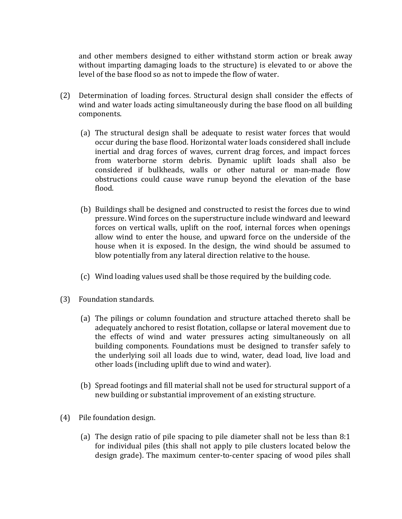and other members designed to either withstand storm action or break away without imparting damaging loads to the structure) is elevated to or above the level of the base flood so as not to impede the flow of water.

- (2) Determination of loading forces. Structural design shall consider the effects of wind and water loads acting simultaneously during the base flood on all building components.
	- (a) The structural design shall be adequate to resist water forces that would occur during the base flood. Horizontal water loads considered shall include inertial and drag forces of waves, current drag forces, and impact forces from waterborne storm debris. Dynamic uplift loads shall also be considered if bulkheads, walls or other natural or man-made flow obstructions could cause wave runup beyond the elevation of the base flood.
	- (b) Buildings shall be designed and constructed to resist the forces due to wind pressure. Wind forces on the superstructure include windward and leeward forces on vertical walls, uplift on the roof, internal forces when openings allow wind to enter the house, and upward force on the underside of the house when it is exposed. In the design, the wind should be assumed to blow potentially from any lateral direction relative to the house.
	- (c) Wind loading values used shall be those required by the building code.
- (3) Foundation standards.
	- (a) The pilings or column foundation and structure attached thereto shall be adequately anchored to resist flotation, collapse or lateral movement due to the effects of wind and water pressures acting simultaneously on all building components. Foundations must be designed to transfer safely to the underlying soil all loads due to wind, water, dead load, live load and other loads (including uplift due to wind and water).
	- (b) Spread footings and fill material shall not be used for structural support of a new building or substantial improvement of an existing structure.
- (4) Pile foundation design.
	- (a) The design ratio of pile spacing to pile diameter shall not be less than 8:1 for individual piles (this shall not apply to pile clusters located below the design grade). The maximum center-to-center spacing of wood piles shall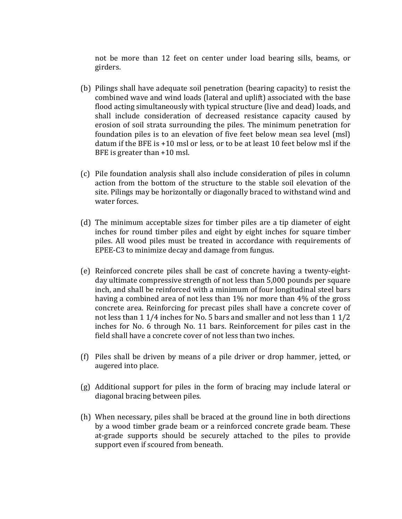not be more than 12 feet on center under load bearing sills, beams, or girders.

- (b) Pilings shall have adequate soil penetration (bearing capacity) to resist the combined wave and wind loads (lateral and uplift) associated with the base flood acting simultaneously with typical structure (live and dead) loads, and shall include consideration of decreased resistance capacity caused by erosion of soil strata surrounding the piles. The minimum penetration for foundation piles is to an elevation of five feet below mean sea level (msl) datum if the BFE is +10 msl or less, or to be at least 10 feet below msl if the BFE is greater than +10 msl.
- (c) Pile foundation analysis shall also include consideration of piles in column action from the bottom of the structure to the stable soil elevation of the site. Pilings may be horizontally or diagonally braced to withstand wind and water forces.
- (d) The minimum acceptable sizes for timber piles are a tip diameter of eight inches for round timber piles and eight by eight inches for square timber piles. All wood piles must be treated in accordance with requirements of EPEE-C3 to minimize decay and damage from fungus.
- (e) Reinforced concrete piles shall be cast of concrete having a twenty-eightday ultimate compressive strength of not less than 5,000 pounds per square inch, and shall be reinforced with a minimum of four longitudinal steel bars having a combined area of not less than 1% nor more than 4% of the gross concrete area. Reinforcing for precast piles shall have a concrete cover of not less than 1 1/4 inches for No. 5 bars and smaller and not less than 1 1/2 inches for No. 6 through No. 11 bars. Reinforcement for piles cast in the field shall have a concrete cover of not less than two inches.
- (f) Piles shall be driven by means of a pile driver or drop hammer, jetted, or augered into place.
- (g) Additional support for piles in the form of bracing may include lateral or diagonal bracing between piles.
- (h) When necessary, piles shall be braced at the ground line in both directions by a wood timber grade beam or a reinforced concrete grade beam. These at-grade supports should be securely attached to the piles to provide support even if scoured from beneath.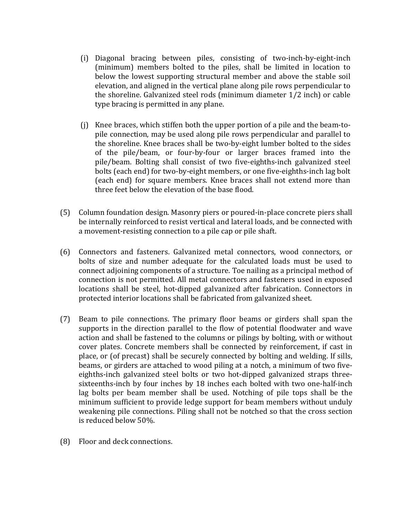- (i) Diagonal bracing between piles, consisting of two-inch-by-eight-inch (minimum) members bolted to the piles, shall be limited in location to below the lowest supporting structural member and above the stable soil elevation, and aligned in the vertical plane along pile rows perpendicular to the shoreline. Galvanized steel rods (minimum diameter 1/2 inch) or cable type bracing is permitted in any plane.
- (j) Knee braces, which stiffen both the upper portion of a pile and the beam-topile connection, may be used along pile rows perpendicular and parallel to the shoreline. Knee braces shall be two-by-eight lumber bolted to the sides of the pile/beam, or four-by-four or larger braces framed into the pile/beam. Bolting shall consist of two five-eighths-inch galvanized steel bolts (each end) for two-by-eight members, or one five-eighths-inch lag bolt (each end) for square members. Knee braces shall not extend more than three feet below the elevation of the base flood.
- (5) Column foundation design. Masonry piers or poured-in-place concrete piers shall be internally reinforced to resist vertical and lateral loads, and be connected with a movement-resisting connection to a pile cap or pile shaft.
- (6) Connectors and fasteners. Galvanized metal connectors, wood connectors, or bolts of size and number adequate for the calculated loads must be used to connect adjoining components of a structure. Toe nailing as a principal method of connection is not permitted. All metal connectors and fasteners used in exposed locations shall be steel, hot-dipped galvanized after fabrication. Connectors in protected interior locations shall be fabricated from galvanized sheet.
- (7) Beam to pile connections. The primary floor beams or girders shall span the supports in the direction parallel to the flow of potential floodwater and wave action and shall be fastened to the columns or pilings by bolting, with or without cover plates. Concrete members shall be connected by reinforcement, if cast in place, or (of precast) shall be securely connected by bolting and welding. If sills, beams, or girders are attached to wood piling at a notch, a minimum of two fiveeighths-inch galvanized steel bolts or two hot-dipped galvanized straps threesixteenths-inch by four inches by 18 inches each bolted with two one-half-inch lag bolts per beam member shall be used. Notching of pile tops shall be the minimum sufficient to provide ledge support for beam members without unduly weakening pile connections. Piling shall not be notched so that the cross section is reduced below 50%.
- (8) Floor and deck connections.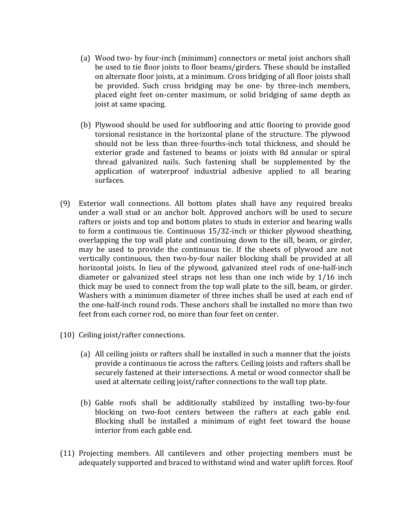- (a) Wood two- by four-inch (minimum) connectors or metal joist anchors shall be used to tie floor joists to floor beams/girders. These should be installed on alternate floor joists, at a minimum. Cross bridging of all floor joists shall be provided. Such cross bridging may be one- by three-inch members, placed eight feet on-center maximum, or solid bridging of same depth as joist at same spacing.
- (b) Plywood should be used for subflooring and attic flooring to provide good torsional resistance in the horizontal plane of the structure. The plywood should not be less than three-fourths-inch total thickness, and should be exterior grade and fastened to beams or joists with 8d annular or spiral thread galvanized nails. Such fastening shall be supplemented by the application of waterproof industrial adhesive applied to all bearing surfaces.
- (9) Exterior wall connections. All bottom plates shall have any required breaks under a wall stud or an anchor bolt. Approved anchors will be used to secure rafters or joists and top and bottom plates to studs in exterior and bearing walls to form a continuous tie. Continuous 15/32-inch or thicker plywood sheathing, overlapping the top wall plate and continuing down to the sill, beam, or girder, may be used to provide the continuous tie. If the sheets of plywood are not vertically continuous, then two-by-four nailer blocking shall be provided at all horizontal joists. In lieu of the plywood, galvanized steel rods of one-half-inch diameter or galvanized steel straps not less than one inch wide by 1/16 inch thick may be used to connect from the top wall plate to the sill, beam, or girder. Washers with a minimum diameter of three inches shall be used at each end of the one-half-inch round rods. These anchors shall be installed no more than two feet from each corner rod, no more than four feet on center.
- (10) Ceiling joist/rafter connections.
	- (a) All ceiling joists or rafters shall be installed in such a manner that the joists provide a continuous tie across the rafters. Ceiling joists and rafters shall be securely fastened at their intersections. A metal or wood connector shall be used at alternate ceiling joist/rafter connections to the wall top plate.
	- (b) Gable roofs shall be additionally stabilized by installing two-by-four blocking on two-foot centers between the rafters at each gable end. Blocking shall be installed a minimum of eight feet toward the house interior from each gable end.
- (11) Projecting members. All cantilevers and other projecting members must be adequately supported and braced to withstand wind and water uplift forces. Roof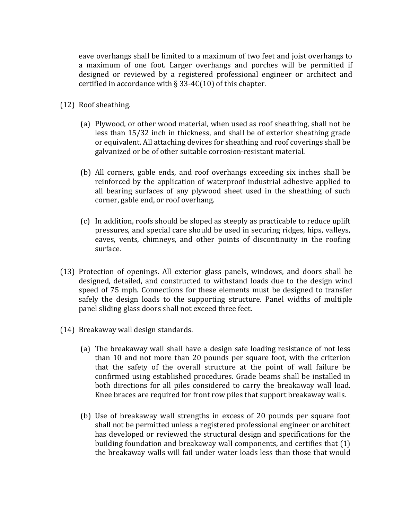eave overhangs shall be limited to a maximum of two feet and joist overhangs to a maximum of one foot. Larger overhangs and porches will be permitted if designed or reviewed by a registered professional engineer or architect and certified in accordance with § 33-4C(10) of this chapter.

- (12) Roof sheathing.
	- (a) Plywood, or other wood material, when used as roof sheathing, shall not be less than 15/32 inch in thickness, and shall be of exterior sheathing grade or equivalent. All attaching devices for sheathing and roof coverings shall be galvanized or be of other suitable corrosion-resistant material.
	- (b) All corners, gable ends, and roof overhangs exceeding six inches shall be reinforced by the application of waterproof industrial adhesive applied to all bearing surfaces of any plywood sheet used in the sheathing of such corner, gable end, or roof overhang.
	- (c) In addition, roofs should be sloped as steeply as practicable to reduce uplift pressures, and special care should be used in securing ridges, hips, valleys, eaves, vents, chimneys, and other points of discontinuity in the roofing surface.
- (13) Protection of openings. All exterior glass panels, windows, and doors shall be designed, detailed, and constructed to withstand loads due to the design wind speed of 75 mph. Connections for these elements must be designed to transfer safely the design loads to the supporting structure. Panel widths of multiple panel sliding glass doors shall not exceed three feet.
- (14) Breakaway wall design standards.
	- (a) The breakaway wall shall have a design safe loading resistance of not less than 10 and not more than 20 pounds per square foot, with the criterion that the safety of the overall structure at the point of wall failure be confirmed using established procedures. Grade beams shall be installed in both directions for all piles considered to carry the breakaway wall load. Knee braces are required for front row piles that support breakaway walls.
	- (b) Use of breakaway wall strengths in excess of 20 pounds per square foot shall not be permitted unless a registered professional engineer or architect has developed or reviewed the structural design and specifications for the building foundation and breakaway wall components, and certifies that (1) the breakaway walls will fail under water loads less than those that would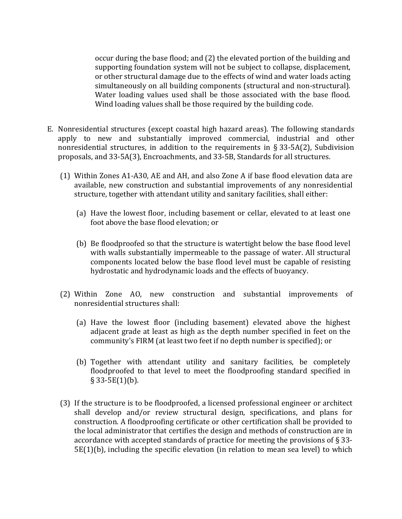occur during the base flood; and (2) the elevated portion of the building and supporting foundation system will not be subject to collapse, displacement, or other structural damage due to the effects of wind and water loads acting simultaneously on all building components (structural and non-structural). Water loading values used shall be those associated with the base flood. Wind loading values shall be those required by the building code.

- E. Nonresidential structures (except coastal high hazard areas). The following standards apply to new and substantially improved commercial, industrial and other nonresidential structures, in addition to the requirements in § 33-5A(2), Subdivision proposals, and 33-5A(3), Encroachments, and 33-5B, Standards for all structures.
	- (1) Within Zones A1-A30, AE and AH, and also Zone A if base flood elevation data are available, new construction and substantial improvements of any nonresidential structure, together with attendant utility and sanitary facilities, shall either:
		- (a) Have the lowest floor, including basement or cellar, elevated to at least one foot above the base flood elevation; or
		- (b) Be floodproofed so that the structure is watertight below the base flood level with walls substantially impermeable to the passage of water. All structural components located below the base flood level must be capable of resisting hydrostatic and hydrodynamic loads and the effects of buoyancy.
	- (2) Within Zone AO, new construction and substantial improvements of nonresidential structures shall:
		- (a) Have the lowest floor (including basement) elevated above the highest adjacent grade at least as high as the depth number specified in feet on the community's FIRM (at least two feet if no depth number is specified); or
		- (b) Together with attendant utility and sanitary facilities, be completely floodproofed to that level to meet the floodproofing standard specified in  $§$  33-5E(1)(b).
	- (3) If the structure is to be floodproofed, a licensed professional engineer or architect shall develop and/or review structural design, specifications, and plans for construction. A floodproofing certificate or other certification shall be provided to the local administrator that certifies the design and methods of construction are in accordance with accepted standards of practice for meeting the provisions of § 33- 5E(1)(b), including the specific elevation (in relation to mean sea level) to which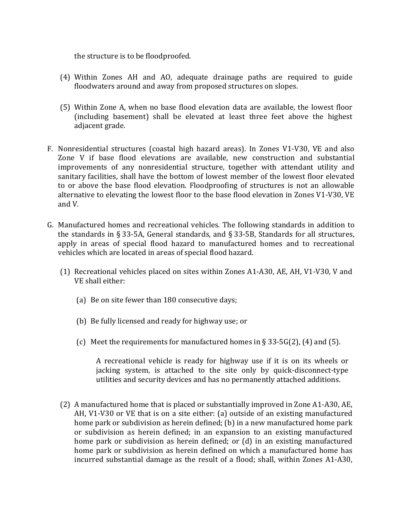the structure is to be floodproofed.

- (4) Within Zones AH and AO, adequate drainage paths are required to guide floodwaters around and away from proposed structures on slopes.
- (5) Within Zone A, when no base flood elevation data are available, the lowest floor (including basement) shall be elevated at least three feet above the highest adjacent grade.
- F. Nonresidential structures (coastal high hazard areas). In Zones V1-V30, VE and also Zone V if base flood elevations are available, new construction and substantial improvements of any nonresidential structure, together with attendant utility and sanitary facilities, shall have the bottom of lowest member of the lowest floor elevated to or above the base flood elevation. Floodproofing of structures is not an allowable alternative to elevating the lowest floor to the base flood elevation in Zones V1-V30, VE and V.
- G. Manufactured homes and recreational vehicles. The following standards in addition to the standards in § 33-5A, General standards, and § 33-5B, Standards for all structures, apply in areas of special flood hazard to manufactured homes and to recreational vehicles which are located in areas of special flood hazard.
	- (1) Recreational vehicles placed on sites within Zones A1-A30, AE, AH, V1-V30, V and VE shall either:
		- (a) Be on site fewer than 180 consecutive days;
		- (b) Be fully licensed and ready for highway use; or
		- (c) Meet the requirements for manufactured homes in  $\S$  33-5G(2), (4) and (5).

A recreational vehicle is ready for highway use if it is on its wheels or jacking system, is attached to the site only by quick-disconnect-type utilities and security devices and has no permanently attached additions.

(2) A manufactured home that is placed or substantially improved in Zone A1-A30, AE, AH, V1-V30 or VE that is on a site either: (a) outside of an existing manufactured home park or subdivision as herein defined; (b) in a new manufactured home park or subdivision as herein defined; in an expansion to an existing manufactured home park or subdivision as herein defined; or (d) in an existing manufactured home park or subdivision as herein defined on which a manufactured home has incurred substantial damage as the result of a flood; shall, within Zones A1-A30,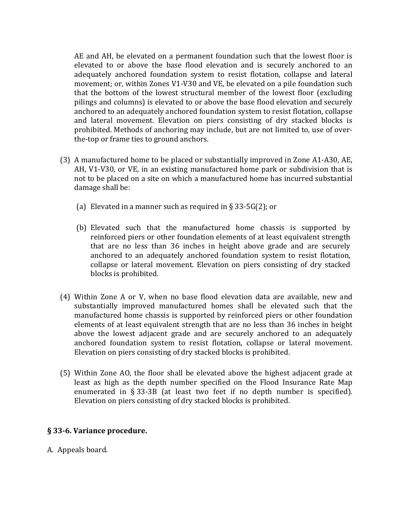AE and AH, be elevated on a permanent foundation such that the lowest floor is elevated to or above the base flood elevation and is securely anchored to an adequately anchored foundation system to resist flotation, collapse and lateral movement; or, within Zones V1-V30 and VE, be elevated on a pile foundation such that the bottom of the lowest structural member of the lowest floor (excluding pilings and columns) is elevated to or above the base flood elevation and securely anchored to an adequately anchored foundation system to resist flotation, collapse and lateral movement. Elevation on piers consisting of dry stacked blocks is prohibited. Methods of anchoring may include, but are not limited to, use of overthe-top or frame ties to ground anchors.

- (3) A manufactured home to be placed or substantially improved in Zone A1-A30, AE, AH, V1-V30, or VE, in an existing manufactured home park or subdivision that is not to be placed on a site on which a manufactured home has incurred substantial damage shall be:
	- (a) Elevated in a manner such as required in  $\S 33-5G(2)$ ; or
	- (b) Elevated such that the manufactured home chassis is supported by reinforced piers or other foundation elements of at least equivalent strength that are no less than 36 inches in height above grade and are securely anchored to an adequately anchored foundation system to resist flotation, collapse or lateral movement. Elevation on piers consisting of dry stacked blocks is prohibited.
- (4) Within Zone A or V, when no base flood elevation data are available, new and substantially improved manufactured homes shall be elevated such that the manufactured home chassis is supported by reinforced piers or other foundation elements of at least equivalent strength that are no less than 36 inches in height above the lowest adjacent grade and are securely anchored to an adequately anchored foundation system to resist flotation, collapse or lateral movement. Elevation on piers consisting of dry stacked blocks is prohibited.
- (5) Within Zone AO, the floor shall be elevated above the highest adjacent grade at least as high as the depth number specified on the Flood Insurance Rate Map enumerated in § 33-3B (at least two feet if no depth number is specified). Elevation on piers consisting of dry stacked blocks is prohibited.

#### § 33-6. Variance procedure.

A. Appeals board.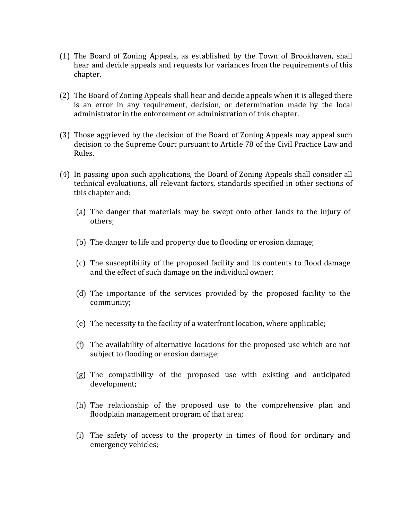- (1) The Board of Zoning Appeals, as established by the Town of Brookhaven, shall hear and decide appeals and requests for variances from the requirements of this chapter.
- (2) The Board of Zoning Appeals shall hear and decide appeals when it is alleged there is an error in any requirement, decision, or determination made by the local administrator in the enforcement or administration of this chapter.
- (3) Those aggrieved by the decision of the Board of Zoning Appeals may appeal such decision to the Supreme Court pursuant to Article 78 of the Civil Practice Law and Rules.
- (4) In passing upon such applications, the Board of Zoning Appeals shall consider all technical evaluations, all relevant factors, standards specified in other sections of this chapter and:
	- (a) The danger that materials may be swept onto other lands to the injury of others;
	- (b) The danger to life and property due to flooding or erosion damage;
	- (c) The susceptibility of the proposed facility and its contents to flood damage and the effect of such damage on the individual owner;
	- (d) The importance of the services provided by the proposed facility to the community;
	- (e) The necessity to the facility of a waterfront location, where applicable;
	- (f) The availability of alternative locations for the proposed use which are not subject to flooding or erosion damage;
	- (g) The compatibility of the proposed use with existing and anticipated development;
	- (h) The relationship of the proposed use to the comprehensive plan and floodplain management program of that area;
	- (i) The safety of access to the property in times of flood for ordinary and emergency vehicles;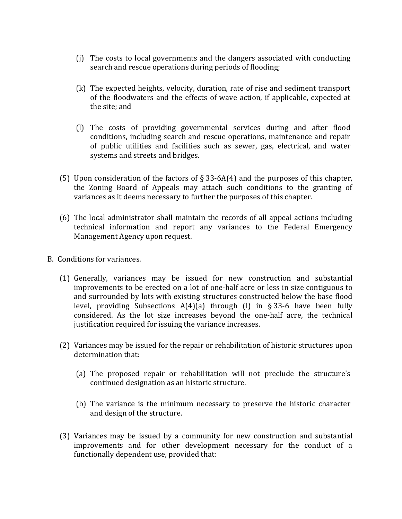- (j) The costs to local governments and the dangers associated with conducting search and rescue operations during periods of flooding;
- (k) The expected heights, velocity, duration, rate of rise and sediment transport of the floodwaters and the effects of wave action, if applicable, expected at the site; and
- (l) The costs of providing governmental services during and after flood conditions, including search and rescue operations, maintenance and repair of public utilities and facilities such as sewer, gas, electrical, and water systems and streets and bridges.
- (5) Upon consideration of the factors of  $\S 33-6A(4)$  and the purposes of this chapter, the Zoning Board of Appeals may attach such conditions to the granting of variances as it deems necessary to further the purposes of this chapter.
- (6) The local administrator shall maintain the records of all appeal actions including technical information and report any variances to the Federal Emergency Management Agency upon request.
- B. Conditions for variances.
	- (1) Generally, variances may be issued for new construction and substantial improvements to be erected on a lot of one-half acre or less in size contiguous to and surrounded by lots with existing structures constructed below the base flood level, providing Subsections A(4)(a) through (l) in § 33-6 have been fully considered. As the lot size increases beyond the one-half acre, the technical justification required for issuing the variance increases.
	- (2) Variances may be issued for the repair or rehabilitation of historic structures upon determination that:
		- (a) The proposed repair or rehabilitation will not preclude the structure's continued designation as an historic structure.
		- (b) The variance is the minimum necessary to preserve the historic character and design of the structure.
	- (3) Variances may be issued by a community for new construction and substantial improvements and for other development necessary for the conduct of a functionally dependent use, provided that: